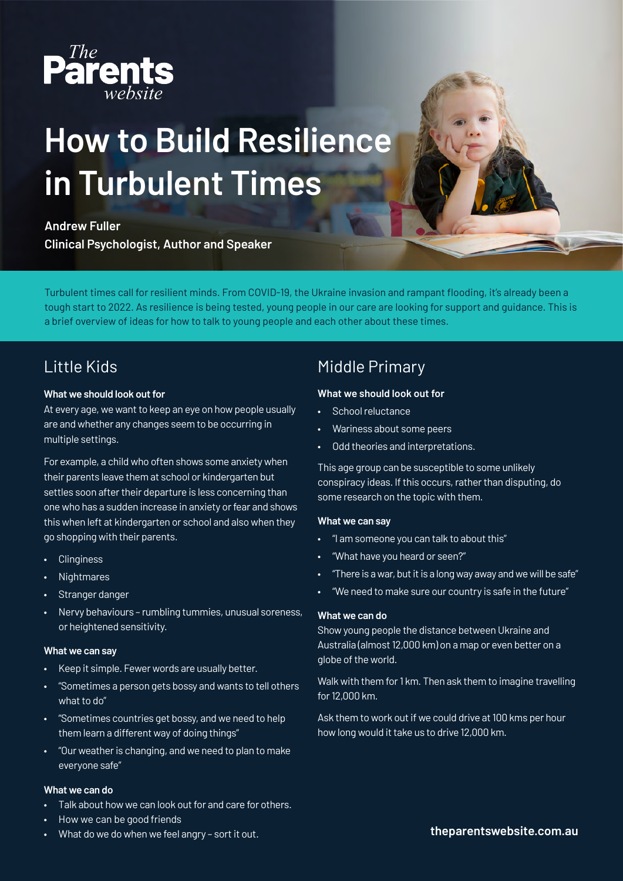

# **How to Build Resilience in Turbulent Times**

#### **Andrew Fuller**

**Clinical Psychologist, Author and Speaker** 

Turbulent times call for resilient minds. From COVID-19, the Ukraine invasion and rampant flooding, it's already been a tough start to 2022. As resilience is being tested, young people in our care are looking for support and guidance. This is a brief overview of ideas for how to talk to young people and each other about these times.

## Little Kids

#### **What we should look out for**

At every age, we want to keep an eye on how people usually are and whether any changes seem to be occurring in multiple settings.

For example, a child who often shows some anxiety when their parents leave them at school or kindergarten but settles soon after their departure is less concerning than one who has a sudden increase in anxiety or fear and shows this when left at kindergarten or school and also when they go shopping with their parents.

- Clinginess
- Nightmares
- Stranger danger
- Nervy behaviours rumbling tummies, unusual soreness, or heightened sensitivity.

#### **What we can say**

- Keep it simple. Fewer words are usually better.
- "Sometimes a person gets bossy and wants to tell others what to do"
- "Sometimes countries get bossy, and we need to help them learn a different way of doing things"
- "Our weather is changing, and we need to plan to make everyone safe"

#### **What we can do**

- Talk about how we can look out for and care for others.
- How we can be good friends

#### • What do we do when we feel angry – sort it out.

# Middle Primary

#### **What we should look out for**

- School reluctance
- Wariness about some peers
- Odd theories and interpretations.

This age group can be susceptible to some unlikely conspiracy ideas. If this occurs, rather than disputing, do some research on the topic with them.

#### **What we can say**

- "I am someone you can talk to about this"
- "What have you heard or seen?"
- "There is a war, but it is a long way away and we will be safe"
- "We need to make sure our country is safe in the future"

#### **What we can do**

Show young people the distance between Ukraine and Australia (almost 12,000 km) on a map or even better on a globe of the world.

Walk with them for 1 km. Then ask them to imagine travelling for 12,000 km.

Ask them to work out if we could drive at 100 kms per hour how long would it take us to drive 12,000 km.